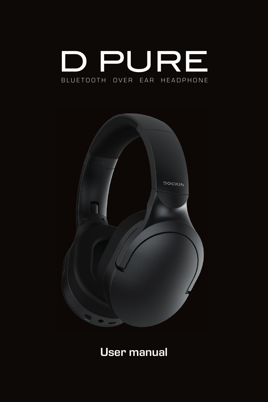



**User manual**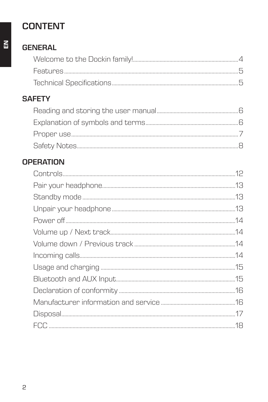## **CONTENT**

## **GENERAL**

#### **SAFETY**

#### **OPERATION**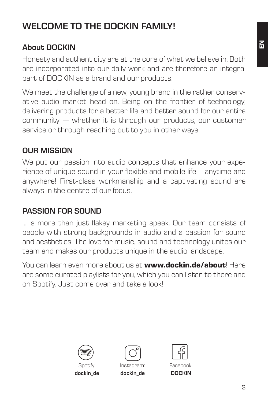## **WELCOME TO THE DOCKIN FAMILY!**

#### **About DOCKIN**

Honesty and authenticity are at the core of what we believe in. Both are incorporated into our daily work and are therefore an integral part of DOCKIN as a brand and our products.

We meet the challenge of a new, young brand in the rather conservative audio market head on. Being on the frontier of technology, delivering products for a better life and better sound for our entire community — whether it is through our products, our customer service or through reaching out to you in other ways.

#### **OUR MISSION**

We put our passion into audio concepts that enhance your experience of unique sound in your flexible and mobile life – anytime and anywhere! First-class workmanship and a captivating sound are always in the centre of our focus.

#### **PASSION FOR SOUND**

… is more than just flakey marketing speak. Our team consists of people with strong backgrounds in audio and a passion for sound and aesthetics. The love for music, sound and technology unites our team and makes our products unique in the audio landscape.

You can learn even more about us at **www.dockin.de/about**! Here are some curated playlists for you, which you can listen to there and on Spotify. Just come over and take a look!



**dockin\_de**



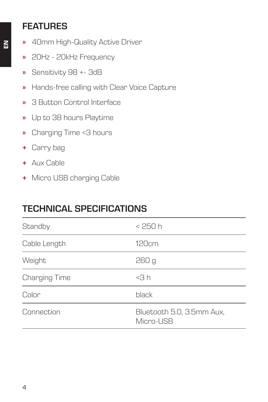#### **FEATURES**

- **»** 40mm High-Quality Active Driver
- **»** 20Hz 20kHz Frequency
- **»** Sensitivity 98 +- 3dB
- **»** Hands-free calling with Clear Voice Capture
- **»** 3 Button Control Interface
- **»** Up to 38 hours Playtime
- **»** Charging Time <3 hours
- **+** Carry bag
- **+** Aux Cable
- **+** Micro USB charging Cable

#### **TECHNICAL SPECIFICATIONS**

| Standby       | < 250 h                                |
|---------------|----------------------------------------|
| Cable Length  | 120cm                                  |
| Weight        | 260 g                                  |
| Charging Time | $<$ 3 $h$                              |
| Color         | black                                  |
| Connection    | Bluetooth 5.0, 3.5mm Aux,<br>Micro-USB |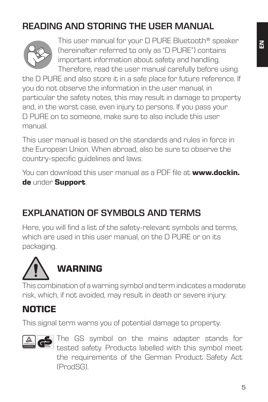# **READING AND STORING THE USER MANUAL**



This user manual for your D PURE Bluetooth® speaker (hereinafter referred to only as "D PURE") contains important information about safety and handling. Therefore, read the user manual carefully before using

the D PURE and also store it in a safe place for future reference. If you do not observe the information in the user manual, in particular the safety notes, this may result in damage to property and, in the worst case, even injury to persons. If you pass your D PURE on to someone, make sure to also include this user manual.

This user manual is based on the standards and rules in force in the European Union. When abroad, also be sure to observe the country-specific guidelines and laws.

You can download this user manual as a PDF file at **www.dockin. de** under **Support**.

#### **EXPLANATION OF SYMBOLS AND TERMS**

Here, you will find a list of the safety-relevant symbols and terms, which are used in this user manual, on the D PURE or on its packaging.



This combination of a warning symbol and term indicates a moderate risk, which, if not avoided, may result in death or severe injury.

#### **NOTICE**

This signal term warns you of potential damage to property.



The GS symbol on the mains adapter stands for tested safety. Products labelled with this symbol meet the requirements of the German Product Safety Act (ProdSG).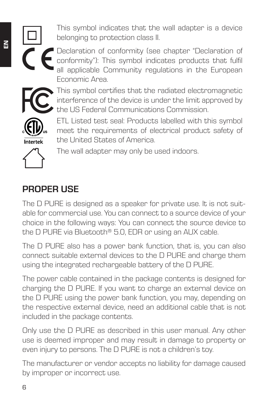This symbol indicates that the wall adapter is a device belonging to protection class II.



Declaration of conformity (see chapter "Declaration of conformity"): This symbol indicates products that fulfil all applicable Community regulations in the European Economic Area.



This symbol certifies that the radiated electromagnetic interference of the device is under the limit approved by the US Federal Communications Commission.



ETL Listed test seal: Products labelled with this symbol meet the requirements of electrical product safety of the United States of America.



The wall adapter may only be used indoors.

#### **PROPER USE**

The D PURE is designed as a speaker for private use. It is not suitable for commercial use. You can connect to a source device of your choice in the following ways: You can connect the source device to the D PURE via Bluetooth® 5.0, EDR or using an AUX cable.

The D PURE also has a power bank function, that is, you can also connect suitable external devices to the D PURE and charge them using the integrated rechargeable battery of the D PURE.

The power cable contained in the package contents is designed for charging the D PURE. If you want to charge an external device on the D PURE using the power bank function, you may, depending on the respective external device, need an additional cable that is not included in the package contents.

Only use the D PURE as described in this user manual. Any other use is deemed improper and may result in damage to property or even injury to persons. The D PURE is not a children's toy.

The manufacturer or vendor accepts no liability for damage caused by improper or incorrect use.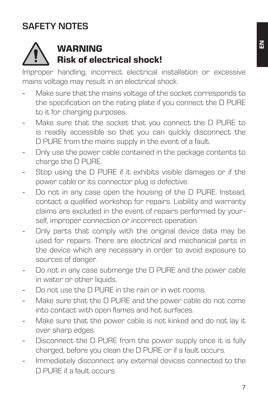## **SAFETY NOTES**



## **WARNING Risk of electrical shock!**

Improper handling, incorrect electrical installation or excessive mains voltage may result in an electrical shock.

- Make sure that the mains voltage of the socket corresponds to the specification on the rating plate if you connect the D PURE to it for charging purposes.
- Make sure that the socket that you connect the D PURE to is readily accessible so that you can quickly disconnect the D PURE from the mains supply in the event of a fault.
- Only use the power cable contained in the package contents to charge the D PURE.
- Stop using the D PURE if it exhibits visible damages or if the power cable or its connector plug is defective.
- Do not in any case open the housing of the D PURE. Instead, contact a qualified workshop for repairs. Liability and warranty claims are excluded in the event of repairs performed by yourself, improper connection or incorrect operation.
- Only parts that comply with the original device data may be used for repairs. There are electrical and mechanical parts in the device which are necessary in order to avoid exposure to sources of danger.
- Do not in any case submerge the D PURE and the power cable in water or other liquids.
- Do not use the D PURE in the rain or in wet rooms.
- Make sure that the D PURE and the power cable do not come into contact with open flames and hot surfaces.
- Make sure that the power cable is not kinked and do not lay it over sharp edges.
- Disconnect the D PURE from the power supply once it is fully charged, before you clean the D PURE or if a fault occurs.
- Immediately disconnect any external devices connected to the D PURE if a fault occurs.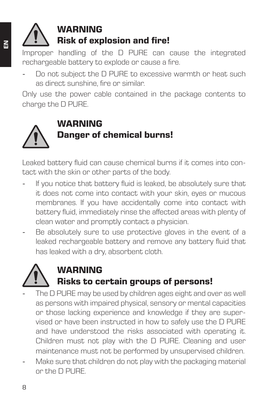# **WARNING Risk of explosion and fire!**

Improper handling of the D PURE can cause the integrated rechargeable battery to explode or cause a fire.

Do not subject the D PURE to excessive warmth or heat such as direct sunshine, fire or similar.

Only use the power cable contained in the package contents to charge the D PURE.



# **WARNING Danger of chemical burns!**

Leaked battery fluid can cause chemical burns if it comes into contact with the skin or other parts of the body.

- If you notice that battery fluid is leaked, be absolutely sure that it does not come into contact with your skin, eyes or mucous membranes. If you have accidentally come into contact with battery fluid, immediately rinse the affected areas with plenty of clean water and promptly contact a physician.
- Be absolutely sure to use protective gloves in the event of a leaked rechargeable battery and remove any battery fluid that has leaked with a dry, absorbent cloth.



### **WARNING Risks to certain groups of persons!**

- The D PURE may be used by children ages eight and over as well as persons with impaired physical, sensory or mental capacities or those lacking experience and knowledge if they are supervised or have been instructed in how to safely use the D PURE and have understood the risks associated with operating it. Children must not play with the D PURE. Cleaning and user maintenance must not be performed by unsupervised children.
- Make sure that children do not play with the packaging material or the D PURE.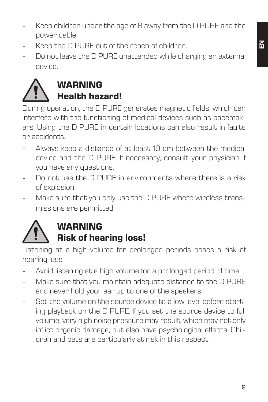- Keep children under the age of 8 away from the D PURE and the power cable.
- Keep the D PURE out of the reach of children.
- Do not leave the D PURE unattended while charging an external device.



During operation, the D PURE generates magnetic fields, which can interfere with the functioning of medical devices such as pacemakers. Using the D PURE in certain locations can also result in faults or accidents.

- Always keep a distance of at least 10 cm between the medical device and the D PURE. If necessary, consult your physician if you have any questions.
- Do not use the D PURE in environments where there is a risk of explosion.
- Make sure that you only use the D PURE where wireless transmissions are permitted.



## **WARNING**

#### **Risk of hearing loss!**

Listening at a high volume for prolonged periods poses a risk of hearing loss.

- Avoid listening at a high volume for a prolonged period of time.
- Make sure that you maintain adequate distance to the D PURE and never hold your ear up to one of the speakers.
- Set the volume on the source device to a low level before starting playback on the D PURE. If you set the source device to full volume, very high noise pressure may result, which may not only inflict organic damage, but also have psychological effects. Children and pets are particularly at risk in this respect.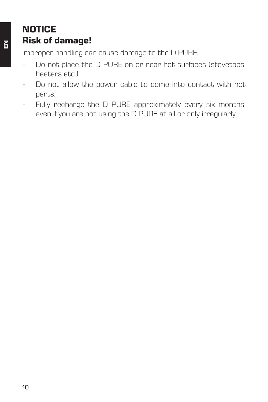#### **NOTICE Risk of damage!**

Improper handling can cause damage to the D PURE.

- Do not place the D PURE on or near hot surfaces (stovetops, heaters etc.).
- Do not allow the power cable to come into contact with hot parts.
- Fully recharge the D PURE approximately every six months, even if you are not using the D PURE at all or only irregularly.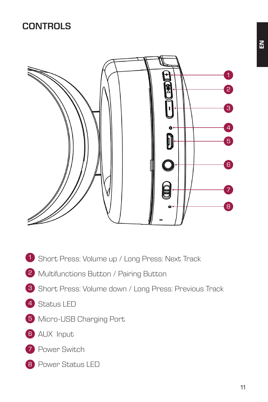#### **CONTROLS**



- 1 Short Press: Volume up / Long Press: Next Track
- 2 Multifunctions Button / Pairing Button
- 3 Short Press: Volume down / Long Press: Previous Track
- 4 Status LED
- 5 Micro-USB Charging Port
- **6** AUX Input
- 7 Power Switch
- 8 Power Status LED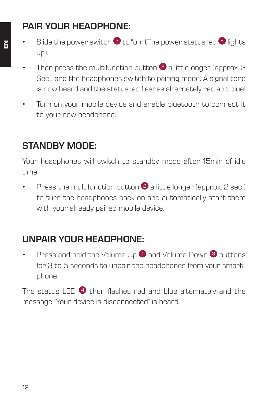## **PAIR YOUR HEADPHONE:**

- Slide the power switch  $\bullet$  to "on" (The power status led  $\bullet$  lights up).
	- Then press the multifunction button  $\bullet$  a little onger (approx. 3) Sec.) and the headphones switch to pairing mode. A signal tone is now heard and the status led flashes alternately red and blue!
	- Turn on your mobile device and enable bluetooth to connect it to your new headphone.

#### **STANDBY MODE:**

Your headphones will switch to standby mode after 15min of idle time!

Press the multifunction button  $\bullet$  a little longer (approx. 2 sec.) to turn the headphones back on and automatically start them with your already paired mobile device.

## **UNPAIR YOUR HEADPHONE:**

**Press and hold the Volume Up**  $\bullet$  **and Volume Down**  $\bullet$  **buttons** for 3 to 5 seconds to unpair the headphones from your smartphone.

The status LED  $\bigoplus$  then flashes red and blue alternately and the message "Your device is disconnected" is heard.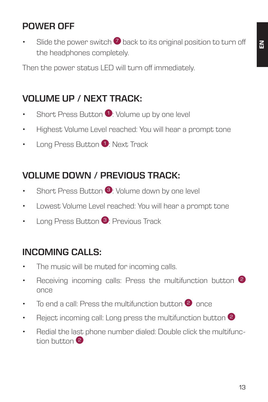#### **POWER OFF**

Slide the power switch  $\overline{2}$  back to its original position to turn off the headphones completely.

Then the power status LED will turn off immediately.

### **VOLUME UP / NEXT TRACK:**

- Short Press Button  $\bullet$ : Volume up by one level
- Highest Volume Level reached: You will hear a prompt tone
- Long Press Button <sup>1</sup>: Next Track

#### **VOLUME DOWN / PREVIOUS TRACK:**

- Short Press Button 3: Volume down by one level
- Lowest Volume Level reached: You will hear a prompt tone
- Long Press Button <sup>3</sup>: Previous Track

#### **INCOMING CALLS:**

- The music will be muted for incoming calls.
- Receiving incoming calls: Press the multifunction button <sup>2</sup> once
- To end a call: Press the multifunction button <sup>2</sup> once
- Reject incoming call: Long press the multifunction button <sup>2</sup>
- Redial the last phone number dialed: Double click the multifunction button 2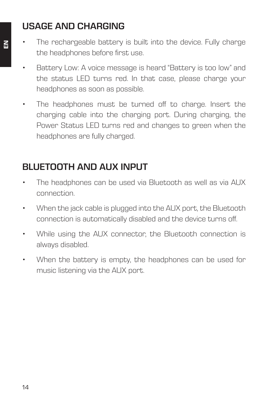#### **USAGE AND CHARGING**

- The rechargeable battery is built into the device. Fully charge the headphones before first use.
	- Battery Low: A voice message is heard "Battery is too low" and the status LED turns red. In that case, please charge your headphones as soon as possible.
	- The headphones must be turned off to charge. Insert the charging cable into the charging port. During charging, the Power Status LED turns red and changes to green when the headphones are fully charged.

#### **BLUETOOTH AND AUX INPUT**

- The headphones can be used via Bluetooth as well as via AUX connection.
- When the jack cable is plugged into the AUX port, the Bluetooth connection is automatically disabled and the device turns off.
- While using the AUX connector, the Bluetooth connection is always disabled.
- When the battery is empty, the headphones can be used for music listening via the AUX port.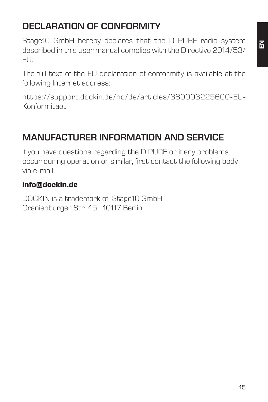# **DECLARATION OF CONFORMITY**

Stage10 GmbH hereby declares that the D PURE radio system described in this user manual complies with the Directive 2014/53/ EU.

The full text of the EU declaration of conformity is available at the following Internet address:

https://support.dockin.de/hc/de/articles/360003225600-EU-Konformitaet

## **MANUFACTURER INFORMATION AND SERVICE**

If you have questions regarding the D PURE or if any problems occur during operation or similar, first contact the following body via e-mail:

#### **info@dockin.de**

DOCKIN is a trademark of Stage10 GmbH Oranienburger Str. 45 | 10117 Berlin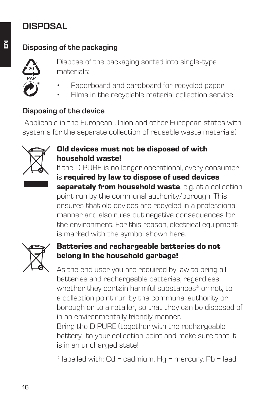## **DISPOSAL**

#### **Disposing of the packaging**



Dispose of the packaging sorted into single-type materials:

- Paperboard and cardboard for recycled paper
- Films in the recyclable material collection service

#### **Disposing of the device**

(Applicable in the European Union and other European states with systems for the separate collection of reusable waste materials)



#### **Old devices must not be disposed of with household waste!**

If the D PURE is no longer operational, every consumer is **required by law to dispose of used devices separately from household waste**, e.g. at a collection point run by the communal authority/borough. This ensures that old devices are recycled in a professional manner and also rules out negative consequences for the environment. For this reason, electrical equipment is marked with the symbol shown here.



#### **Batteries and rechargeable batteries do not belong in the household garbage!**

As the end user you are required by law to bring all batteries and rechargeable batteries, regardless whether they contain harmful substances\* or not, to a collection point run by the communal authority or borough or to a retailer, so that they can be disposed of in an environmentally friendly manner.

Bring the D PURE (together with the rechargeable battery) to your collection point and make sure that it is in an uncharged state!

\* labelled with: Cd = cadmium, Hg = mercury, Pb = lead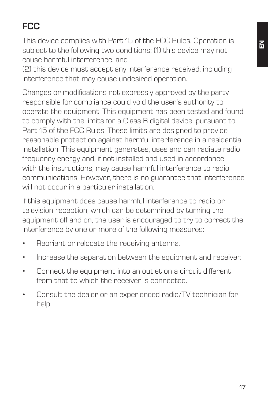# **FCC**

This device complies with Part 15 of the FCC Rules. Operation is subject to the following two conditions: (1) this device may not cause harmful interference, and

(2) this device must accept any interference received, including interference that may cause undesired operation.

Changes or modifications not expressly approved by the party responsible for compliance could void the user's authority to operate the equipment. This equipment has been tested and found to comply with the limits for a Class B digital device, pursuant to Part 15 of the FCC Rules. These limits are designed to provide reasonable protection against harmful interference in a residential installation. This equipment generates, uses and can radiate radio frequency energy and, if not installed and used in accordance with the instructions, may cause harmful interference to radio communications. However, there is no guarantee that interference will not occur in a particular installation.

If this equipment does cause harmful interference to radio or television reception, which can be determined by turning the equipment off and on, the user is encouraged to try to correct the interference by one or more of the following measures:

- Reorient or relocate the receiving antenna.
- Increase the separation between the equipment and receiver.
- Connect the equipment into an outlet on a circuit different from that to which the receiver is connected.
- Consult the dealer or an experienced radio/TV technician for help.